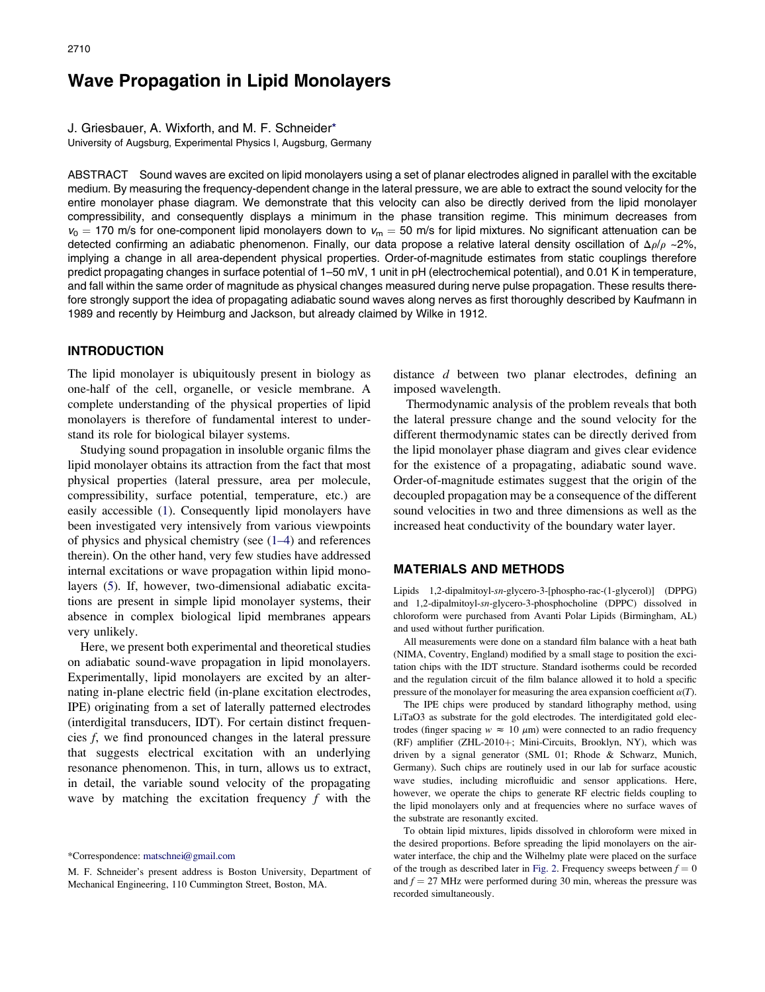# Wave Propagation in Lipid Monolayers

J. Griesbauer, A. Wixforth, and M. F. Schneider\*

University of Augsburg, Experimental Physics I, Augsburg, Germany

ABSTRACT Sound waves are excited on lipid monolayers using a set of planar electrodes aligned in parallel with the excitable medium. By measuring the frequency-dependent change in the lateral pressure, we are able to extract the sound velocity for the entire monolayer phase diagram. We demonstrate that this velocity can also be directly derived from the lipid monolayer compressibility, and consequently displays a minimum in the phase transition regime. This minimum decreases from  $v_0 = 170$  m/s for one-component lipid monolayers down to  $v_m = 50$  m/s for lipid mixtures. No significant attenuation can be detected confirming an adiabatic phenomenon. Finally, our data propose a relative lateral density oscillation of  $\Delta \rho / \rho \sim 2\%$ , implying a change in all area-dependent physical properties. Order-of-magnitude estimates from static couplings therefore predict propagating changes in surface potential of 1–50 mV, 1 unit in pH (electrochemical potential), and 0.01 K in temperature, and fall within the same order of magnitude as physical changes measured during nerve pulse propagation. These results therefore strongly support the idea of propagating adiabatic sound waves along nerves as first thoroughly described by Kaufmann in 1989 and recently by Heimburg and Jackson, but already claimed by Wilke in 1912.

# INTRODUCTION

The lipid monolayer is ubiquitously present in biology as one-half of the cell, organelle, or vesicle membrane. A complete understanding of the physical properties of lipid monolayers is therefore of fundamental interest to understand its role for biological bilayer systems.

Studying sound propagation in insoluble organic films the lipid monolayer obtains its attraction from the fact that most physical properties (lateral pressure, area per molecule, compressibility, surface potential, temperature, etc.) are easily accessible ([1\)](#page-6-0). Consequently lipid monolayers have been investigated very intensively from various viewpoints of physics and physical chemistry (see ([1–4\)](#page-6-0) and references therein). On the other hand, very few studies have addressed internal excitations or wave propagation within lipid monolayers ([5\)](#page-6-0). If, however, two-dimensional adiabatic excitations are present in simple lipid monolayer systems, their absence in complex biological lipid membranes appears very unlikely.

Here, we present both experimental and theoretical studies on adiabatic sound-wave propagation in lipid monolayers. Experimentally, lipid monolayers are excited by an alternating in-plane electric field (in-plane excitation electrodes, IPE) originating from a set of laterally patterned electrodes (interdigital transducers, IDT). For certain distinct frequencies f, we find pronounced changes in the lateral pressure that suggests electrical excitation with an underlying resonance phenomenon. This, in turn, allows us to extract, in detail, the variable sound velocity of the propagating wave by matching the excitation frequency  $f$  with the distance d between two planar electrodes, defining an imposed wavelength.

Thermodynamic analysis of the problem reveals that both the lateral pressure change and the sound velocity for the different thermodynamic states can be directly derived from the lipid monolayer phase diagram and gives clear evidence for the existence of a propagating, adiabatic sound wave. Order-of-magnitude estimates suggest that the origin of the decoupled propagation may be a consequence of the different sound velocities in two and three dimensions as well as the increased heat conductivity of the boundary water layer.

#### MATERIALS AND METHODS

Lipids 1,2-dipalmitoyl-sn-glycero-3-[phospho-rac-(1-glycerol)] (DPPG) and 1,2-dipalmitoyl-sn-glycero-3-phosphocholine (DPPC) dissolved in chloroform were purchased from Avanti Polar Lipids (Birmingham, AL) and used without further purification.

All measurements were done on a standard film balance with a heat bath (NIMA, Coventry, England) modified by a small stage to position the excitation chips with the IDT structure. Standard isotherms could be recorded and the regulation circuit of the film balance allowed it to hold a specific pressure of the monolayer for measuring the area expansion coefficient  $\alpha(T)$ .

The IPE chips were produced by standard lithography method, using LiTaO3 as substrate for the gold electrodes. The interdigitated gold electrodes (finger spacing  $w \approx 10 \ \mu m$ ) were connected to an radio frequency (RF) amplifier (ZHL-2010+; Mini-Circuits, Brooklyn, NY), which was driven by a signal generator (SML 01; Rhode & Schwarz, Munich, Germany). Such chips are routinely used in our lab for surface acoustic wave studies, including microfluidic and sensor applications. Here, however, we operate the chips to generate RF electric fields coupling to the lipid monolayers only and at frequencies where no surface waves of the substrate are resonantly excited.

To obtain lipid mixtures, lipids dissolved in chloroform were mixed in the desired proportions. Before spreading the lipid monolayers on the airwater interface, the chip and the Wilhelmy plate were placed on the surface of the trough as described later in [Fig.](#page-2-0) 2. Frequency sweeps between  $f = 0$ and  $f = 27$  MHz were performed during 30 min, whereas the pressure was recorded simultaneously.

<sup>\*</sup>Correspondence: [matschnei@gmail.com](mailto:matschnei@gmail.com)

M. F. Schneider's present address is Boston University, Department of Mechanical Engineering, 110 Cummington Street, Boston, MA.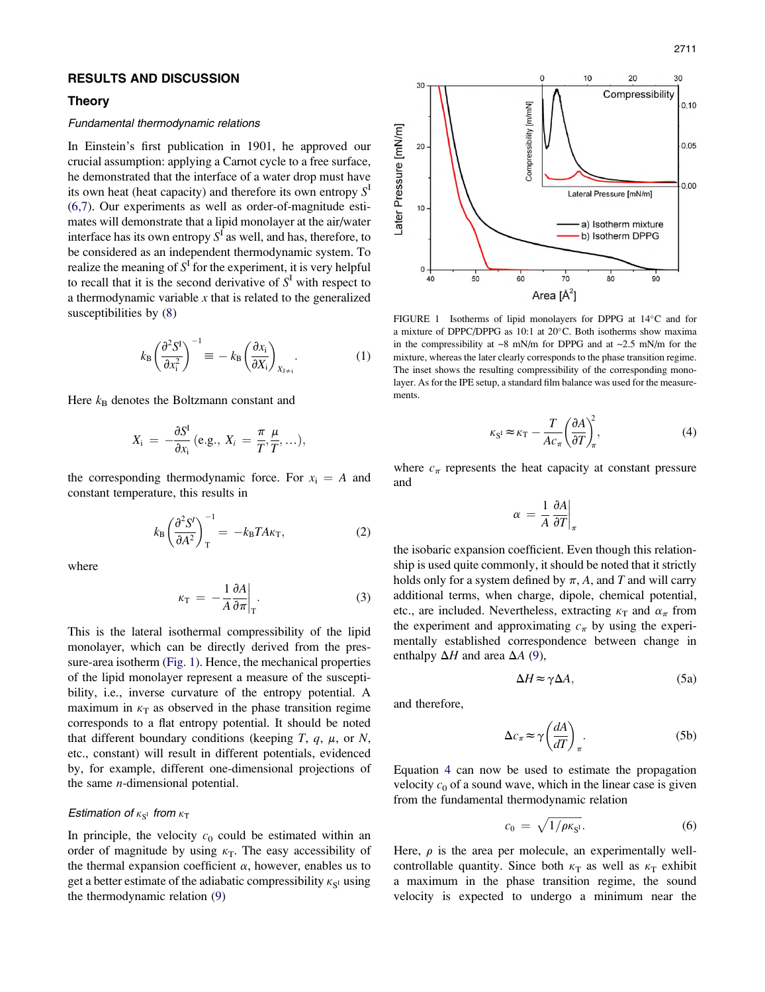# <span id="page-1-0"></span>RESULTS AND DISCUSSION

## Theory

# Fundamental thermodynamic relations

In Einstein's first publication in 1901, he approved our crucial assumption: applying a Carnot cycle to a free surface, he demonstrated that the interface of a water drop must have its own heat (heat capacity) and therefore its own entropy  $S<sup>I</sup>$ ([6,7](#page-6-0)). Our experiments as well as order-of-magnitude estimates will demonstrate that a lipid monolayer at the air/water interface has its own entropy  $S^{\mathbf{I}}$  as well, and has, therefore, to be considered as an independent thermodynamic system. To realize the meaning of  $S^{\Gamma}$  for the experiment, it is very helpful to recall that it is the second derivative of  $S<sup>I</sup>$  with respect to a thermodynamic variable  $x$  that is related to the generalized susceptibilities by [\(8](#page-6-0))

$$
k_{\rm B} \left(\frac{\partial^2 S^{\rm I}}{\partial x_{\rm i}^2}\right)^{-1} \equiv -k_{\rm B} \left(\frac{\partial x_{\rm i}}{\partial X_{\rm i}}\right)_{X_{\rm J \neq \rm i}}.\tag{1}
$$

Here  $k_B$  denotes the Boltzmann constant and

$$
X_{\rm i} = -\frac{\partial S^{\rm I}}{\partial x_{\rm i}}\,({\rm e.g.,}\;X_{\rm i} = \frac{\pi}{T}, \frac{\mu}{T}, \ldots),
$$

the corresponding thermodynamic force. For  $x_i = A$  and constant temperature, this results in

$$
k_{\rm B} \left(\frac{\partial^2 S'}{\partial A^2}\right)_{\rm T}^{-1} = -k_{\rm B} T A \kappa_{\rm T},\tag{2}
$$

where

$$
\kappa_{\rm T} = -\frac{1}{A} \frac{\partial A}{\partial \pi} \bigg|_{\rm T} . \tag{3}
$$

This is the lateral isothermal compressibility of the lipid monolayer, which can be directly derived from the pressure-area isotherm (Fig. 1). Hence, the mechanical properties of the lipid monolayer represent a measure of the susceptibility, i.e., inverse curvature of the entropy potential. A maximum in  $\kappa_T$  as observed in the phase transition regime corresponds to a flat entropy potential. It should be noted that different boundary conditions (keeping  $T$ ,  $q$ ,  $\mu$ , or  $N$ , etc., constant) will result in different potentials, evidenced by, for example, different one-dimensional projections of the same  $n$ -dimensional potential.

# Estimation of  $\kappa_{S^1}$  from  $\kappa_{\mathsf{T}}$

In principle, the velocity  $c_0$  could be estimated within an order of magnitude by using  $\kappa$ <sub>T</sub>. The easy accessibility of the thermal expansion coefficient  $\alpha$ , however, enables us to get a better estimate of the adiabatic compressibility  $\kappa_{S^I}$  using the thermodynamic relation ([9\)](#page-6-0)



FIGURE 1 Isotherms of lipid monolayers for DPPG at 14°C and for a mixture of DPPC/DPPG as 10:1 at 20 C. Both isotherms show maxima in the compressibility at  $\sim 8$  mN/m for DPPG and at  $\sim 2.5$  mN/m for the mixture, whereas the later clearly corresponds to the phase transition regime. The inset shows the resulting compressibility of the corresponding monolayer. As for the IPE setup, a standard film balance was used for the measurements.

$$
\kappa_{\rm SI} \approx \kappa_{\rm T} - \frac{T}{Ac_{\pi}} \left(\frac{\partial A}{\partial T}\right)^2_{\pi},\tag{4}
$$

where  $c_{\pi}$  represents the heat capacity at constant pressure and

$$
\alpha = \frac{1}{A} \frac{\partial A}{\partial T}\bigg|_{\pi}
$$

the isobaric expansion coefficient. Even though this relationship is used quite commonly, it should be noted that it strictly holds only for a system defined by  $\pi$ , A, and T and will carry additional terms, when charge, dipole, chemical potential, etc., are included. Nevertheless, extracting  $\kappa_T$  and  $\alpha_{\pi}$  from the experiment and approximating  $c_{\pi}$  by using the experimentally established correspondence between change in enthalpy  $\Delta H$  and area  $\Delta A$  [\(9](#page-6-0)),

$$
\Delta H \approx \gamma \Delta A, \tag{5a}
$$

and therefore,

$$
\Delta c_{\pi} \approx \gamma \left(\frac{dA}{dT}\right)_{\pi}.\tag{5b}
$$

Equation 4 can now be used to estimate the propagation velocity  $c_0$  of a sound wave, which in the linear case is given from the fundamental thermodynamic relation

$$
c_0 = \sqrt{1/\rho \kappa_{S^I}}.
$$
 (6)

Here,  $\rho$  is the area per molecule, an experimentally wellcontrollable quantity. Since both  $\kappa_T$  as well as  $\kappa_T$  exhibit a maximum in the phase transition regime, the sound velocity is expected to undergo a minimum near the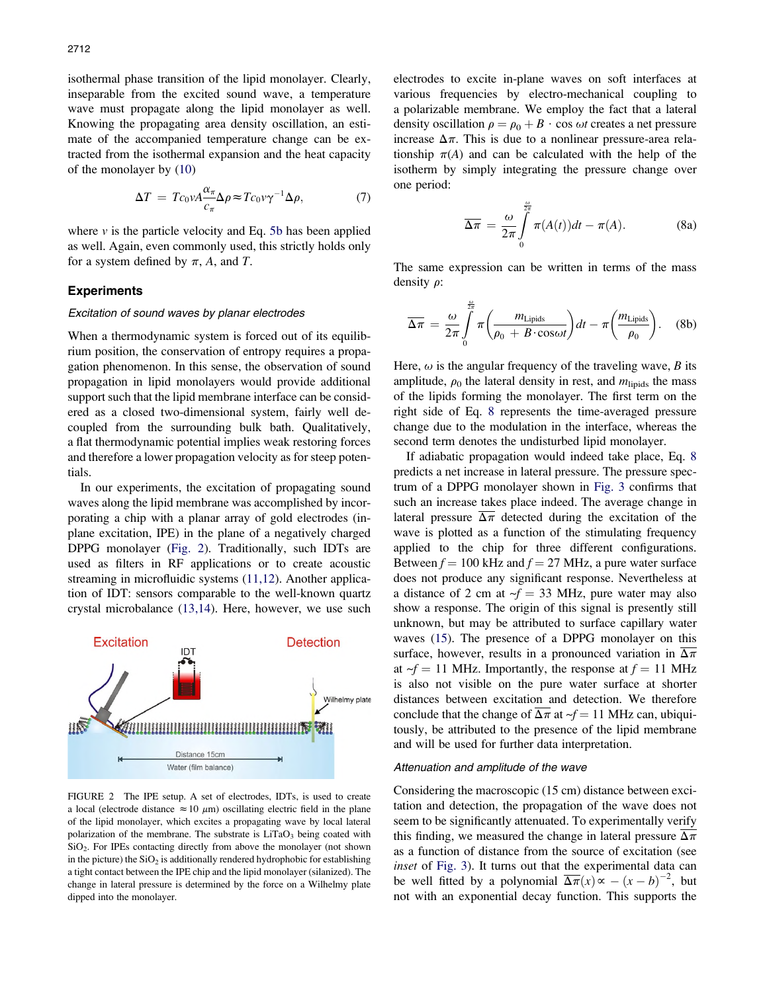<span id="page-2-0"></span>isothermal phase transition of the lipid monolayer. Clearly, inseparable from the excited sound wave, a temperature wave must propagate along the lipid monolayer as well. Knowing the propagating area density oscillation, an estimate of the accompanied temperature change can be extracted from the isothermal expansion and the heat capacity of the monolayer by [\(10](#page-6-0))

$$
\Delta T = T c_0 \nu A \frac{\alpha_\pi}{c_\pi} \Delta \rho \approx T c_0 \nu \gamma^{-1} \Delta \rho, \tag{7}
$$

where  $\nu$  is the particle velocity and Eq. 5b has been applied as well. Again, even commonly used, this strictly holds only for a system defined by  $\pi$ , A, and T.

# **Experiments**

#### Excitation of sound waves by planar electrodes

When a thermodynamic system is forced out of its equilibrium position, the conservation of entropy requires a propagation phenomenon. In this sense, the observation of sound propagation in lipid monolayers would provide additional support such that the lipid membrane interface can be considered as a closed two-dimensional system, fairly well decoupled from the surrounding bulk bath. Qualitatively, a flat thermodynamic potential implies weak restoring forces and therefore a lower propagation velocity as for steep potentials.

In our experiments, the excitation of propagating sound waves along the lipid membrane was accomplished by incorporating a chip with a planar array of gold electrodes (inplane excitation, IPE) in the plane of a negatively charged DPPG monolayer (Fig. 2). Traditionally, such IDTs are used as filters in RF applications or to create acoustic streaming in microfluidic systems [\(11,12\)](#page-6-0). Another application of IDT: sensors comparable to the well-known quartz crystal microbalance ([13,14](#page-6-0)). Here, however, we use such



FIGURE 2 The IPE setup. A set of electrodes, IDTs, is used to create a local (electrode distance  $\approx 10 \mu$ m) oscillating electric field in the plane of the lipid monolayer, which excites a propagating wave by local lateral polarization of the membrane. The substrate is  $LiTaO<sub>3</sub>$  being coated with SiO2. For IPEs contacting directly from above the monolayer (not shown in the picture) the  $SiO<sub>2</sub>$  is additionally rendered hydrophobic for establishing a tight contact between the IPE chip and the lipid monolayer (silanized). The change in lateral pressure is determined by the force on a Wilhelmy plate dipped into the monolayer.

electrodes to excite in-plane waves on soft interfaces at various frequencies by electro-mechanical coupling to a polarizable membrane. We employ the fact that a lateral density oscillation  $\rho = \rho_0 + B \cdot \cos \omega t$  creates a net pressure increase  $\Delta \pi$ . This is due to a nonlinear pressure-area relationship  $\pi(A)$  and can be calculated with the help of the isotherm by simply integrating the pressure change over one period:

$$
\overline{\Delta \pi} = \frac{\omega}{2\pi} \int_{0}^{\frac{\omega}{2\pi}} \pi(A(t))dt - \pi(A). \tag{8a}
$$

The same expression can be written in terms of the mass density  $\rho$ :

$$
\overline{\Delta \pi} = \frac{\omega}{2\pi} \int_{0}^{\frac{\omega}{2\pi}} \pi \left( \frac{m_{\text{Lipids}}}{\rho_0 + B \cdot \cos \omega t} \right) dt - \pi \left( \frac{m_{\text{Lipids}}}{\rho_0} \right). \quad (8b)
$$

Here,  $\omega$  is the angular frequency of the traveling wave, B its amplitude,  $\rho_0$  the lateral density in rest, and  $m_{\text{lipids}}$  the mass of the lipids forming the monolayer. The first term on the right side of Eq. 8 represents the time-averaged pressure change due to the modulation in the interface, whereas the second term denotes the undisturbed lipid monolayer.

If adiabatic propagation would indeed take place, Eq. 8 predicts a net increase in lateral pressure. The pressure spectrum of a DPPG monolayer shown in [Fig.](#page-3-0) 3 confirms that such an increase takes place indeed. The average change in lateral pressure  $\overline{\Delta \pi}$  detected during the excitation of the wave is plotted as a function of the stimulating frequency applied to the chip for three different configurations. Between  $f = 100$  kHz and  $f = 27$  MHz, a pure water surface does not produce any significant response. Nevertheless at a distance of 2 cm at  $-f = 33$  MHz, pure water may also show a response. The origin of this signal is presently still unknown, but may be attributed to surface capillary water waves ([15\)](#page-6-0). The presence of a DPPG monolayer on this surface, however, results in a pronounced variation in  $\overline{\Delta \pi}$ at  $\gamma f = 11$  MHz. Importantly, the response at  $f = 11$  MHz is also not visible on the pure water surface at shorter distances between excitation and detection. We therefore conclude that the change of  $\overline{\Delta \pi}$  at  $\overline{f} = 11$  MHz can, ubiquitously, be attributed to the presence of the lipid membrane and will be used for further data interpretation.

#### Attenuation and amplitude of the wave

Considering the macroscopic (15 cm) distance between excitation and detection, the propagation of the wave does not seem to be significantly attenuated. To experimentally verify this finding, we measured the change in lateral pressure  $\Delta \pi$ as a function of distance from the source of excitation (see inset of [Fig.](#page-3-0) 3). It turns out that the experimental data can be well fitted by a polynomial  $\overline{\Delta \pi}(x) \propto -(x-b)^{-2}$ , but not with an exponential decay function. This supports the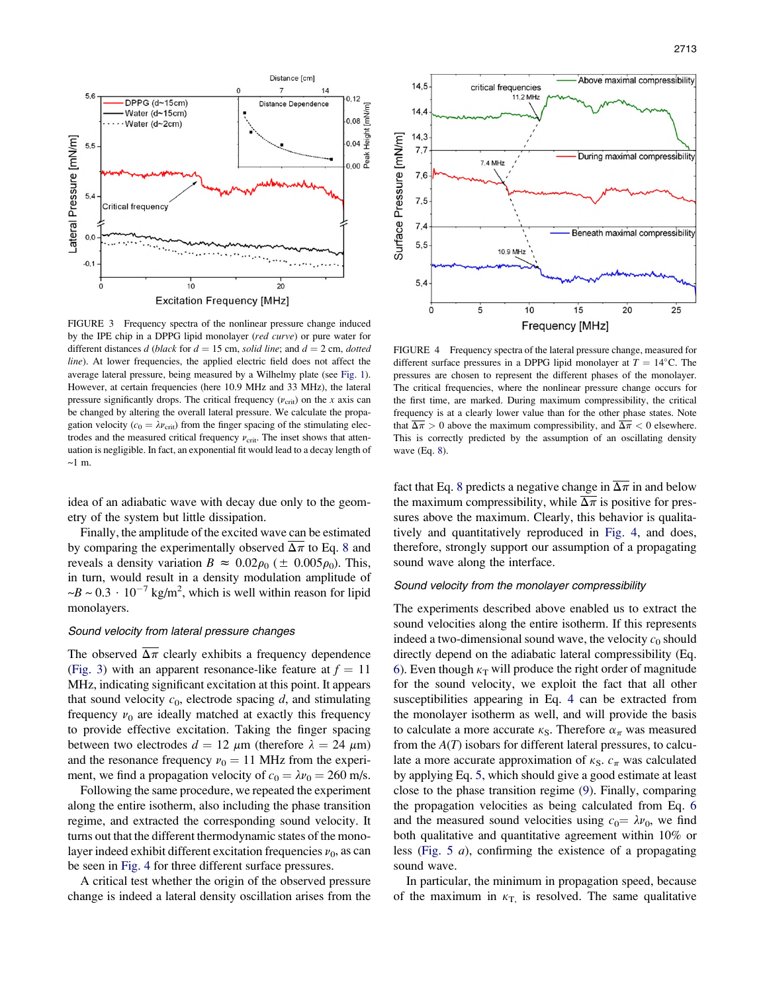<span id="page-3-0"></span>

FIGURE 3 Frequency spectra of the nonlinear pressure change induced by the IPE chip in a DPPG lipid monolayer (red curve) or pure water for different distances d (black for  $d = 15$  cm, solid line; and  $d = 2$  cm, dotted line). At lower frequencies, the applied electric field does not affect the average lateral pressure, being measured by a Wilhelmy plate (see [Fig.](#page-1-0) 1). However, at certain frequencies (here 10.9 MHz and 33 MHz), the lateral pressure significantly drops. The critical frequency  $(v_{\text{crit}})$  on the x axis can be changed by altering the overall lateral pressure. We calculate the propagation velocity ( $c_0 = \lambda v_{\text{crit}}$ ) from the finger spacing of the stimulating electrodes and the measured critical frequency  $v_{\text{crit}}$ . The inset shows that attenuation is negligible. In fact, an exponential fit would lead to a decay length of  $~1~<sub>m</sub>$ .

idea of an adiabatic wave with decay due only to the geometry of the system but little dissipation.

Finally, the amplitude of the excited wave can be estimated by comparing the experimentally observed  $\overline{\Delta \pi}$  to Eq. 8 and reveals a density variation  $B \approx 0.02 \rho_0 (\pm 0.005 \rho_0)$ . This, in turn, would result in a density modulation amplitude of  $\sim B \sim 0.3 \cdot 10^{-7}$  kg/m<sup>2</sup>, which is well within reason for lipid monolayers.

#### Sound velocity from lateral pressure changes

The observed  $\overline{\Delta \pi}$  clearly exhibits a frequency dependence (Fig. 3) with an apparent resonance-like feature at  $f = 11$ MHz, indicating significant excitation at this point. It appears that sound velocity  $c_0$ , electrode spacing d, and stimulating frequency  $v_0$  are ideally matched at exactly this frequency to provide effective excitation. Taking the finger spacing between two electrodes  $d = 12 \mu m$  (therefore  $\lambda = 24 \mu m$ ) and the resonance frequency  $v_0 = 11$  MHz from the experiment, we find a propagation velocity of  $c_0 = \lambda v_0 = 260$  m/s.

Following the same procedure, we repeated the experiment along the entire isotherm, also including the phase transition regime, and extracted the corresponding sound velocity. It turns out that the different thermodynamic states of the monolayer indeed exhibit different excitation frequencies  $v_0$ , as can be seen in Fig. 4 for three different surface pressures.

A critical test whether the origin of the observed pressure change is indeed a lateral density oscillation arises from the



FIGURE 4 Frequency spectra of the lateral pressure change, measured for different surface pressures in a DPPG lipid monolayer at  $T = 14$ °C. The pressures are chosen to represent the different phases of the monolayer. The critical frequencies, where the nonlinear pressure change occurs for the first time, are marked. During maximum compressibility, the critical frequency is at a clearly lower value than for the other phase states. Note that  $\overline{\Delta \pi} > 0$  above the maximum compressibility, and  $\overline{\Delta \pi} < 0$  elsewhere. This is correctly predicted by the assumption of an oscillating density wave (Eq. 8).

fact that Eq. 8 predicts a negative change in  $\overline{\Delta \pi}$  in and below the maximum compressibility, while  $\overline{\Delta \pi}$  is positive for pressures above the maximum. Clearly, this behavior is qualitatively and quantitatively reproduced in Fig. 4, and does, therefore, strongly support our assumption of a propagating sound wave along the interface.

## Sound velocity from the monolayer compressibility

The experiments described above enabled us to extract the sound velocities along the entire isotherm. If this represents indeed a two-dimensional sound wave, the velocity  $c_0$  should directly depend on the adiabatic lateral compressibility (Eq. 6). Even though  $\kappa_T$  will produce the right order of magnitude for the sound velocity, we exploit the fact that all other susceptibilities appearing in Eq. 4 can be extracted from the monolayer isotherm as well, and will provide the basis to calculate a more accurate  $\kappa_{\rm S}$ . Therefore  $\alpha_{\pi}$  was measured from the  $A(T)$  isobars for different lateral pressures, to calculate a more accurate approximation of  $\kappa_{\rm S}$ .  $c_{\pi}$  was calculated by applying Eq. 5, which should give a good estimate at least close to the phase transition regime ([9\)](#page-6-0). Finally, comparing the propagation velocities as being calculated from Eq. 6 and the measured sound velocities using  $c_0 = \lambda v_0$ , we find both qualitative and quantitative agreement within 10% or less ([Fig.](#page-4-0) 5 a), confirming the existence of a propagating sound wave.

In particular, the minimum in propagation speed, because of the maximum in  $\kappa_{\text{T}}$ , is resolved. The same qualitative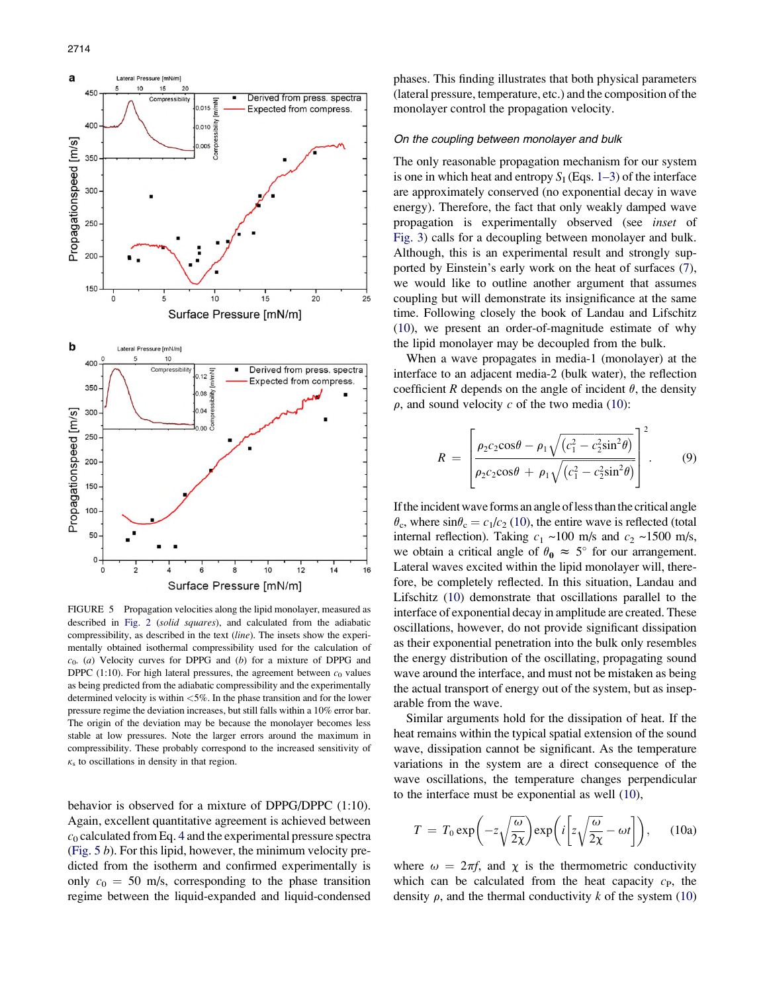<span id="page-4-0"></span>

FIGURE 5 Propagation velocities along the lipid monolayer, measured as described in [Fig.](#page-2-0) 2 (solid squares), and calculated from the adiabatic compressibility, as described in the text (line). The insets show the experimentally obtained isothermal compressibility used for the calculation of  $c_0$ . (a) Velocity curves for DPPG and (b) for a mixture of DPPG and DPPC (1:10). For high lateral pressures, the agreement between  $c_0$  values as being predicted from the adiabatic compressibility and the experimentally determined velocity is within <5%. In the phase transition and for the lower pressure regime the deviation increases, but still falls within a 10% error bar. The origin of the deviation may be because the monolayer becomes less stable at low pressures. Note the larger errors around the maximum in compressibility. These probably correspond to the increased sensitivity of  $\kappa<sub>s</sub>$  to oscillations in density in that region.

behavior is observed for a mixture of DPPG/DPPC (1:10). Again, excellent quantitative agreement is achieved between  $c_0$  calculated from Eq. 4 and the experimental pressure spectra (Fig. 5 b). For this lipid, however, the minimum velocity predicted from the isotherm and confirmed experimentally is only  $c_0 = 50$  m/s, corresponding to the phase transition regime between the liquid-expanded and liquid-condensed phases. This finding illustrates that both physical parameters (lateral pressure, temperature, etc.) and the composition of the monolayer control the propagation velocity.

#### On the coupling between monolayer and bulk

The only reasonable propagation mechanism for our system is one in which heat and entropy  $S_I$  (Eqs. 1–3) of the interface are approximately conserved (no exponential decay in wave energy). Therefore, the fact that only weakly damped wave propagation is experimentally observed (see inset of [Fig.](#page-3-0) 3) calls for a decoupling between monolayer and bulk. Although, this is an experimental result and strongly supported by Einstein's early work on the heat of surfaces ([7\)](#page-6-0), we would like to outline another argument that assumes coupling but will demonstrate its insignificance at the same time. Following closely the book of Landau and Lifschitz ([10\)](#page-6-0), we present an order-of-magnitude estimate of why the lipid monolayer may be decoupled from the bulk.

When a wave propagates in media-1 (monolayer) at the interface to an adjacent media-2 (bulk water), the reflection coefficient R depends on the angle of incident  $\theta$ , the density  $\rho$ , and sound velocity c of the two media ([10\)](#page-6-0):

$$
R = \left[\frac{\rho_2 c_2 \cos \theta - \rho_1 \sqrt{(c_1^2 - c_2^2 \sin^2 \theta)}}{\rho_2 c_2 \cos \theta + \rho_1 \sqrt{(c_1^2 - c_2^2 \sin^2 \theta)}}\right]^2.
$$
(9)

If the incident wave forms an angle of less than the critical angle  $\theta_c$ , where  $\sin\theta_c = c_1/c_2$  [\(10](#page-6-0)), the entire wave is reflected (total internal reflection). Taking  $c_1 \sim 100$  m/s and  $c_2 \sim 1500$  m/s, we obtain a critical angle of  $\theta_0 \approx 5^\circ$  for our arrangement. Lateral waves excited within the lipid monolayer will, therefore, be completely reflected. In this situation, Landau and Lifschitz [\(10](#page-6-0)) demonstrate that oscillations parallel to the interface of exponential decay in amplitude are created. These oscillations, however, do not provide significant dissipation as their exponential penetration into the bulk only resembles the energy distribution of the oscillating, propagating sound wave around the interface, and must not be mistaken as being the actual transport of energy out of the system, but as inseparable from the wave.

Similar arguments hold for the dissipation of heat. If the heat remains within the typical spatial extension of the sound wave, dissipation cannot be significant. As the temperature variations in the system are a direct consequence of the wave oscillations, the temperature changes perpendicular to the interface must be exponential as well ([10\)](#page-6-0),

$$
T = T_0 \exp\left(-z\sqrt{\frac{\omega}{2\chi}}\right) \exp\left(i\left[z\sqrt{\frac{\omega}{2\chi}} - \omega t\right]\right), \quad (10a)
$$

where  $\omega = 2\pi f$ , and  $\chi$  is the thermometric conductivity which can be calculated from the heat capacity  $c_{\rm P}$ , the density  $\rho$ , and the thermal conductivity k of the system [\(10](#page-6-0))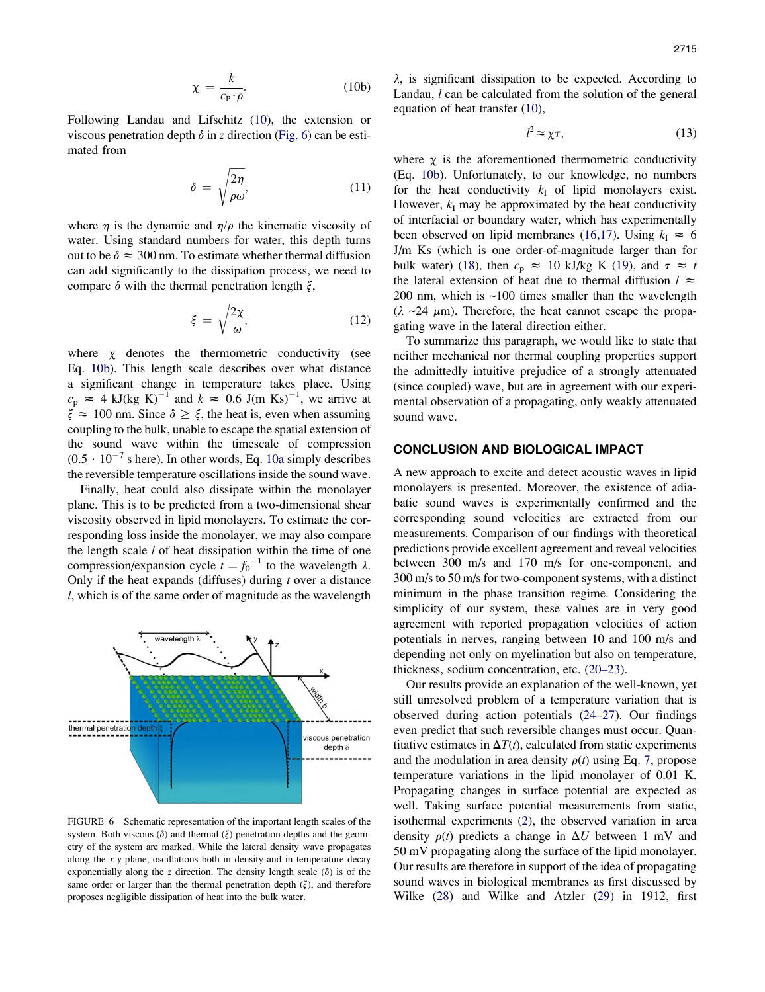$$
\chi = \frac{k}{c_{\rm P} \cdot \rho}.\tag{10b}
$$

Following Landau and Lifschitz ([10\)](#page-6-0), the extension or viscous penetration depth  $\delta$  in z direction (Fig. 6) can be estimated from

$$
\delta = \sqrt{\frac{2\eta}{\rho \omega}},\tag{11}
$$

where  $\eta$  is the dynamic and  $\eta/\rho$  the kinematic viscosity of water. Using standard numbers for water, this depth turns out to be  $\delta \approx 300$  nm. To estimate whether thermal diffusion can add significantly to the dissipation process, we need to compare  $\delta$  with the thermal penetration length  $\xi$ ,

$$
\xi = \sqrt{\frac{2\chi}{\omega}},\tag{12}
$$

where  $\chi$  denotes the thermometric conductivity (see Eq. 10b). This length scale describes over what distance a significant change in temperature takes place. Using  $c_p \approx 4$  kJ(kg K)<sup>-1</sup> and  $k \approx 0.6$  J(m Ks)<sup>-1</sup>, we arrive at  $\xi \approx 100$  nm. Since  $\delta \ge \xi$ , the heat is, even when assuming coupling to the bulk, unable to escape the spatial extension of the sound wave within the timescale of compression  $(0.5 \cdot 10^{-7} \text{ s here})$ . In other words, Eq. 10a simply describes the reversible temperature oscillations inside the sound wave.

Finally, heat could also dissipate within the monolayer plane. This is to be predicted from a two-dimensional shear viscosity observed in lipid monolayers. To estimate the corresponding loss inside the monolayer, we may also compare the length scale  $l$  of heat dissipation within the time of one compression/expansion cycle  $t = f_0^{-1}$  to the wavelength  $\lambda$ . Only if the heat expands (diffuses) during  $t$  over a distance l, which is of the same order of magnitude as the wavelength



FIGURE 6 Schematic representation of the important length scales of the system. Both viscous  $(\delta)$  and thermal  $(\xi)$  penetration depths and the geometry of the system are marked. While the lateral density wave propagates along the x-y plane, oscillations both in density and in temperature decay exponentially along the z direction. The density length scale  $(\delta)$  is of the same order or larger than the thermal penetration depth  $(\xi)$ , and therefore proposes negligible dissipation of heat into the bulk water.

 $\lambda$ , is significant dissipation to be expected. According to Landau, *l* can be calculated from the solution of the general equation of heat transfer [\(10](#page-6-0)),

$$
l^2 \approx \chi \tau,\tag{13}
$$

where  $\chi$  is the aforementioned thermometric conductivity (Eq. 10b). Unfortunately, to our knowledge, no numbers for the heat conductivity  $k_I$  of lipid monolayers exist. However,  $k_I$  may be approximated by the heat conductivity of interfacial or boundary water, which has experimentally been observed on lipid membranes ([16,17](#page-6-0)). Using  $k<sub>I</sub> \approx 6$ J/m Ks (which is one order-of-magnitude larger than for bulk water) ([18\)](#page-6-0), then  $c_p \approx 10$  kJ/kg K ([19\)](#page-6-0), and  $\tau \approx t$ the lateral extension of heat due to thermal diffusion  $l \approx$ 200 nm, which is  $\sim$ 100 times smaller than the wavelength  $(\lambda \sim 24 \mu m)$ . Therefore, the heat cannot escape the propagating wave in the lateral direction either.

To summarize this paragraph, we would like to state that neither mechanical nor thermal coupling properties support the admittedly intuitive prejudice of a strongly attenuated (since coupled) wave, but are in agreement with our experimental observation of a propagating, only weakly attenuated sound wave.

## CONCLUSION AND BIOLOGICAL IMPACT

A new approach to excite and detect acoustic waves in lipid monolayers is presented. Moreover, the existence of adiabatic sound waves is experimentally confirmed and the corresponding sound velocities are extracted from our measurements. Comparison of our findings with theoretical predictions provide excellent agreement and reveal velocities between 300 m/s and 170 m/s for one-component, and 300 m/s to 50 m/s for two-component systems, with a distinct minimum in the phase transition regime. Considering the simplicity of our system, these values are in very good agreement with reported propagation velocities of action potentials in nerves, ranging between 10 and 100 m/s and depending not only on myelination but also on temperature, thickness, sodium concentration, etc. [\(20–23](#page-6-0)).

Our results provide an explanation of the well-known, yet still unresolved problem of a temperature variation that is observed during action potentials [\(24–27](#page-6-0)). Our findings even predict that such reversible changes must occur. Quantitative estimates in  $\Delta T(t)$ , calculated from static experiments and the modulation in area density  $\rho(t)$  using Eq. 7, propose temperature variations in the lipid monolayer of 0.01 K. Propagating changes in surface potential are expected as well. Taking surface potential measurements from static, isothermal experiments ([2\)](#page-6-0), the observed variation in area density  $\rho(t)$  predicts a change in  $\Delta U$  between 1 mV and 50 mV propagating along the surface of the lipid monolayer. Our results are therefore in support of the idea of propagating sound waves in biological membranes as first discussed by Wilke [\(28](#page-6-0)) and Wilke and Atzler [\(29](#page-6-0)) in 1912, first